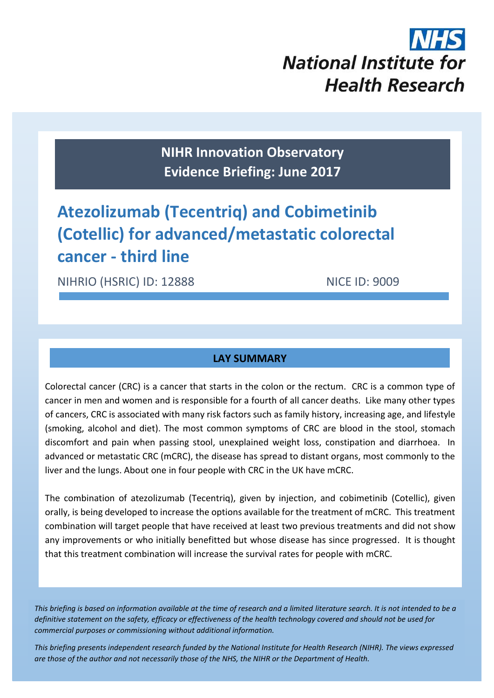

**NIHR Innovation Observatory Evidence Briefing: June 2017**

# **Atezolizumab (Tecentriq) and Cobimetinib (Cotellic) for advanced/metastatic colorectal cancer - third line**

NIHRIO (HSRIC) ID: 12888 NICE ID: 9009

## **LAY SUMMARY**

Colorectal cancer (CRC) is a cancer that starts in the colon or the rectum. CRC is a common type of cancer in men and women and is responsible for a fourth of all cancer deaths. Like many other types of cancers, CRC is associated with many risk factors such as family history, increasing age, and lifestyle (smoking, alcohol and diet). The most common symptoms of CRC are blood in the stool, stomach discomfort and pain when passing stool, unexplained weight loss, constipation and diarrhoea. In advanced or metastatic CRC (mCRC), the disease has spread to distant organs, most commonly to the liver and the lungs. About one in four people with CRC in the UK have mCRC.

The combination of atezolizumab (Tecentriq), given by injection, and cobimetinib (Cotellic), given orally, is being developed to increase the options available for the treatment of mCRC. This treatment combination will target people that have received at least two previous treatments and did not show any improvements or who initially benefitted but whose disease has since progressed. It is thought that this treatment combination will increase the survival rates for people with mCRC.

*This briefing is based on information available at the time of research and a limited literature search. It is not intended to be a definitive statement on the safety, efficacy or effectiveness of the health technology covered and should not be used for commercial purposes or commissioning without additional information.*

1 *This briefing presents independent research funded by the National Institute for Health Research (NIHR). The views expressed are those of the author and not necessarily those of the NHS, the NIHR or the Department of Health.*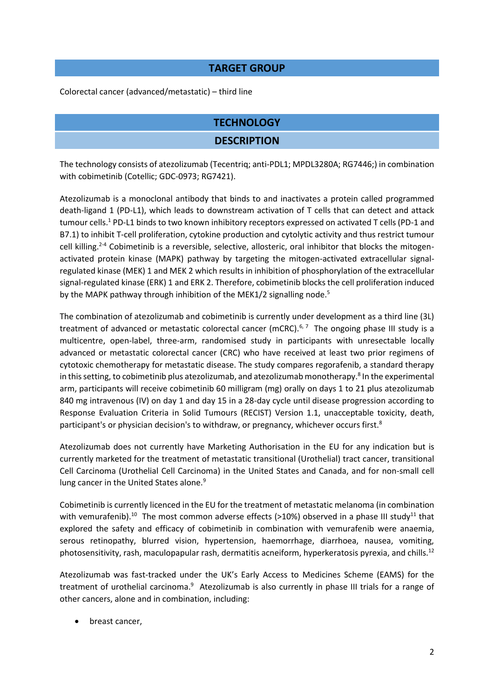#### **TARGET GROUP**

Colorectal cancer (advanced/metastatic) – third line

# **TECHNOLOGY**

#### **DESCRIPTION**

The technology consists of atezolizumab (Tecentriq; anti-PDL1; MPDL3280A; RG7446;) in combination with cobimetinib (Cotellic; GDC-0973; RG7421).

Atezolizumab is a monoclonal antibody that binds to and inactivates a protein called programmed death-ligand 1 (PD-L1), which leads to downstream activation of T cells that can detect and attack tumour cells. <sup>1</sup> PD-L1 binds to two known inhibitory receptors expressed on activated T cells (PD-1 and B7.1) to inhibit T-cell proliferation, cytokine production and cytolytic activity and thus restrict tumour cell killing.<sup>2-4</sup> Cobimetinib is a reversible, selective, allosteric, oral inhibitor that blocks the mitogenactivated protein kinase (MAPK) pathway by targeting the mitogen-activated extracellular signalregulated kinase (MEK) 1 and MEK 2 which results in inhibition of phosphorylation of the extracellular signal-regulated kinase (ERK) 1 and ERK 2. Therefore, cobimetinib blocks the cell proliferation induced by the MAPK pathway through inhibition of the MEK1/2 signalling node.<sup>5</sup>

The combination of atezolizumab and cobimetinib is currently under development as a third line (3L) treatment of advanced or metastatic colorectal cancer (mCRC).<sup>6, 7</sup> The ongoing phase III study is a multicentre, open-label, three-arm, randomised study in participants with unresectable locally advanced or metastatic colorectal cancer (CRC) who have received at least two prior regimens of cytotoxic chemotherapy for metastatic disease. The study compares regorafenib, a standard therapy in this setting, to cobimetinib plus atezolizumab, and atezolizumab monotherapy.<sup>8</sup> In the experimental arm, participants will receive cobimetinib 60 milligram (mg) orally on days 1 to 21 plus atezolizumab 840 mg intravenous (IV) on day 1 and day 15 in a 28-day cycle until disease progression according to Response Evaluation Criteria in Solid Tumours (RECIST) Version 1.1, unacceptable toxicity, death, participant's or physician decision's to withdraw, or pregnancy, whichever occurs first.<sup>8</sup>

Atezolizumab does not currently have Marketing Authorisation in the EU for any indication but is currently marketed for the treatment of metastatic transitional (Urothelial) tract cancer, transitional Cell Carcinoma (Urothelial Cell Carcinoma) in the United States and Canada, and for non-small cell lung cancer in the United States alone.<sup>9</sup>

Cobimetinib is currently licenced in the EU for the treatment of metastatic melanoma (in combination with vemurafenib).<sup>10</sup> The most common adverse effects (>10%) observed in a phase III study<sup>11</sup> that explored the safety and efficacy of cobimetinib in combination with vemurafenib were anaemia, serous retinopathy, blurred vision, hypertension, haemorrhage, diarrhoea, nausea, vomiting, photosensitivity, rash, maculopapular rash, dermatitis acneiform, hyperkeratosis pyrexia, and chills.<sup>12</sup>

Atezolizumab was fast-tracked under the UK's Early Access to Medicines Scheme (EAMS) for the treatment of urothelial carcinoma.<sup>9</sup> Atezolizumab is also currently in phase III trials for a range of other cancers, alone and in combination, including:

breast cancer,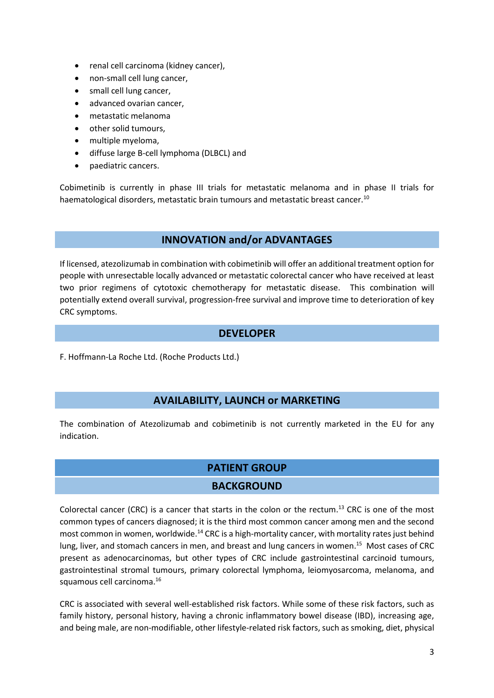- renal cell carcinoma (kidney cancer),
- non-small cell lung cancer,
- small cell lung cancer,
- advanced ovarian cancer,
- metastatic melanoma
- other solid tumours,
- multiple myeloma,
- diffuse large B-cell lymphoma (DLBCL) and
- paediatric cancers.

Cobimetinib is currently in phase III trials for metastatic melanoma and in phase II trials for haematological disorders, metastatic brain tumours and metastatic breast cancer.<sup>10</sup>

#### **INNOVATION and/or ADVANTAGES**

If licensed, atezolizumab in combination with cobimetinib will offer an additional treatment option for people with unresectable locally advanced or metastatic colorectal cancer who have received at least two prior regimens of cytotoxic chemotherapy for metastatic disease. This combination will potentially extend overall survival, progression-free survival and improve time to deterioration of key CRC symptoms.

#### **DEVELOPER**

F. Hoffmann-La Roche Ltd. (Roche Products Ltd.)

#### **AVAILABILITY, LAUNCH or MARKETING**

The combination of Atezolizumab and cobimetinib is not currently marketed in the EU for any indication.

# **PATIENT GROUP**

#### **BACKGROUND**

Colorectal cancer (CRC) is a cancer that starts in the colon or the rectum.<sup>13</sup> CRC is one of the most common types of cancers diagnosed; it is the third most common cancer among men and the second most common in women, worldwide.<sup>14</sup> CRC is a high-mortality cancer, with mortality rates just behind lung, liver, and stomach cancers in men, and breast and lung cancers in women.<sup>15</sup> Most cases of CRC present as adenocarcinomas, but other types of CRC include gastrointestinal carcinoid tumours, gastrointestinal stromal tumours, primary colorectal lymphoma, leiomyosarcoma, melanoma, and squamous cell carcinoma. 16

CRC is associated with several well-established risk factors. While some of these risk factors, such as family history, personal history, having a chronic inflammatory bowel disease (IBD), increasing age, and being male, are non-modifiable, other lifestyle-related risk factors, such as smoking, diet, physical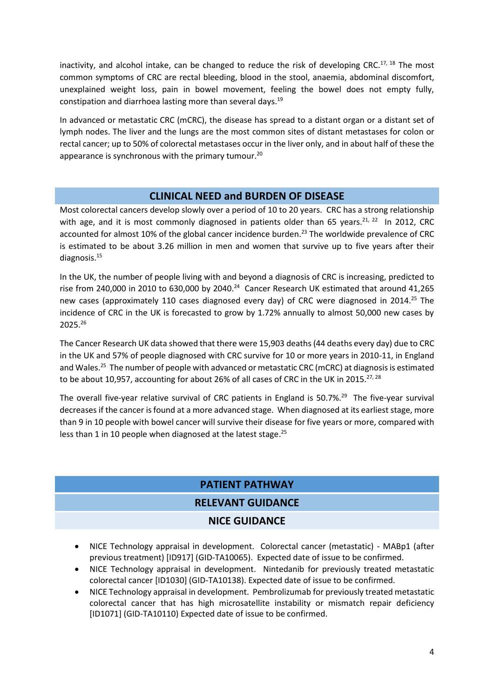inactivity, and alcohol intake, can be changed to reduce the risk of developing CRC.<sup>17, 18</sup> The most common symptoms of CRC are rectal bleeding, blood in the stool, anaemia, abdominal discomfort, unexplained weight loss, pain in bowel movement, feeling the bowel does not empty fully, constipation and diarrhoea lasting more than several days.<sup>19</sup>

In advanced or metastatic CRC (mCRC), the disease has spread to a distant organ or a distant set of lymph nodes. The liver and the lungs are the most common sites of distant metastases for colon or rectal cancer; up to 50% of colorectal metastases occur in the liver only, and in about half of these the appearance is synchronous with the primary tumour.<sup>20</sup>

#### **CLINICAL NEED and BURDEN OF DISEASE**

Most colorectal cancers develop slowly over a period of 10 to 20 years. CRC has a strong relationship with age, and it is most commonly diagnosed in patients older than 65 years.<sup>21, 22</sup> In 2012, CRC accounted for almost 10% of the global cancer incidence burden. <sup>23</sup> The worldwide prevalence of CRC is estimated to be about 3.26 million in men and women that survive up to five years after their diagnosis.<sup>15</sup>

In the UK, the number of people living with and beyond a diagnosis of CRC is increasing, predicted to rise from 240,000 in 2010 to 630,000 by 2040.<sup>24</sup> Cancer Research UK estimated that around 41,265 new cases (approximately 110 cases diagnosed every day) of CRC were diagnosed in 2014.<sup>25</sup> The incidence of CRC in the UK is forecasted to grow by 1.72% annually to almost 50,000 new cases by 2025.<sup>26</sup>

The Cancer Research UK data showed that there were 15,903 deaths (44 deaths every day) due to CRC in the UK and 57% of people diagnosed with CRC survive for 10 or more years in 2010-11, in England and Wales.<sup>25</sup> The number of people with advanced or metastatic CRC (mCRC) at diagnosis is estimated to be about 10,957, accounting for about 26% of all cases of CRC in the UK in 2015.<sup>27, 28</sup>

The overall five-year relative survival of CRC patients in England is 50.7%.<sup>29</sup> The five-year survival decreases if the cancer is found at a more advanced stage. When diagnosed at its earliest stage, more than 9 in 10 people with bowel cancer will survive their disease for five years or more, compared with less than 1 in 10 people when diagnosed at the latest stage.<sup>25</sup>

# **PATIENT PATHWAY**

#### **RELEVANT GUIDANCE**

#### **NICE GUIDANCE**

- NICE Technology appraisal in development. Colorectal cancer (metastatic) MABp1 (after previous treatment) [ID917] (GID-TA10065). Expected date of issue to be confirmed.
- NICE Technology appraisal in development. Nintedanib for previously treated metastatic colorectal cancer [ID1030] (GID-TA10138). Expected date of issue to be confirmed.
- NICE Technology appraisal in development. Pembrolizumab for previously treated metastatic colorectal cancer that has high microsatellite instability or mismatch repair deficiency [ID1071] (GID-TA10110) Expected date of issue to be confirmed.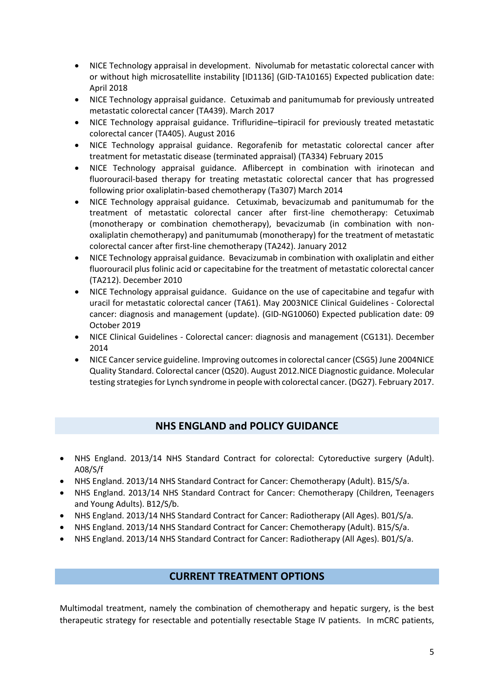- NICE Technology appraisal in development. Nivolumab for metastatic colorectal cancer with or without high microsatellite instability [ID1136] (GID-TA10165) Expected publication date: April 2018
- NICE Technology appraisal guidance. Cetuximab and panitumumab for previously untreated metastatic colorectal cancer (TA439). March 2017
- NICE Technology appraisal guidance. Trifluridine–tipiracil for previously treated metastatic colorectal cancer (TA405). August 2016
- NICE Technology appraisal guidance. Regorafenib for metastatic colorectal cancer after treatment for metastatic disease (terminated appraisal) (TA334) February 2015
- NICE Technology appraisal guidance. Aflibercept in combination with irinotecan and fluorouracil-based therapy for treating metastatic colorectal cancer that has progressed following prior oxaliplatin-based chemotherapy (Ta307) March 2014
- NICE Technology appraisal guidance. Cetuximab, bevacizumab and panitumumab for the treatment of metastatic colorectal cancer after first-line chemotherapy: Cetuximab (monotherapy or combination chemotherapy), bevacizumab (in combination with nonoxaliplatin chemotherapy) and panitumumab (monotherapy) for the treatment of metastatic colorectal cancer after first-line chemotherapy (TA242). January 2012
- NICE Technology appraisal guidance. Bevacizumab in combination with oxaliplatin and either fluorouracil plus folinic acid or capecitabine for the treatment of metastatic colorectal cancer (TA212). December 2010
- NICE Technology appraisal guidance. Guidance on the use of capecitabine and tegafur with uracil for metastatic colorectal cancer (TA61). May 2003NICE Clinical Guidelines - Colorectal cancer: diagnosis and management (update). (GID-NG10060) Expected publication date: 09 October 2019
- NICE Clinical Guidelines Colorectal cancer: diagnosis and management (CG131). December 2014
- NICE Cancer service guideline. Improving outcomes in colorectal cancer (CSG5) June 2004NICE Quality Standard. Colorectal cancer (QS20). August 2012.NICE Diagnostic guidance. Molecular testing strategies for Lynch syndrome in people with colorectal cancer. (DG27). February 2017.

# **NHS ENGLAND and POLICY GUIDANCE**

- NHS England. 2013/14 NHS Standard Contract for colorectal: Cytoreductive surgery (Adult). A08/S/f
- NHS England. 2013/14 NHS Standard Contract for Cancer: Chemotherapy (Adult). B15/S/a.
- NHS England. 2013/14 NHS Standard Contract for Cancer: Chemotherapy (Children, Teenagers and Young Adults). B12/S/b.
- NHS England. 2013/14 NHS Standard Contract for Cancer: Radiotherapy (All Ages). B01/S/a.
- NHS England. 2013/14 NHS Standard Contract for Cancer: Chemotherapy (Adult). B15/S/a.
- NHS England. 2013/14 NHS Standard Contract for Cancer: Radiotherapy (All Ages). B01/S/a.

#### **CURRENT TREATMENT OPTIONS**

Multimodal treatment, namely the combination of chemotherapy and hepatic surgery, is the best therapeutic strategy for resectable and potentially resectable Stage IV patients. In mCRC patients,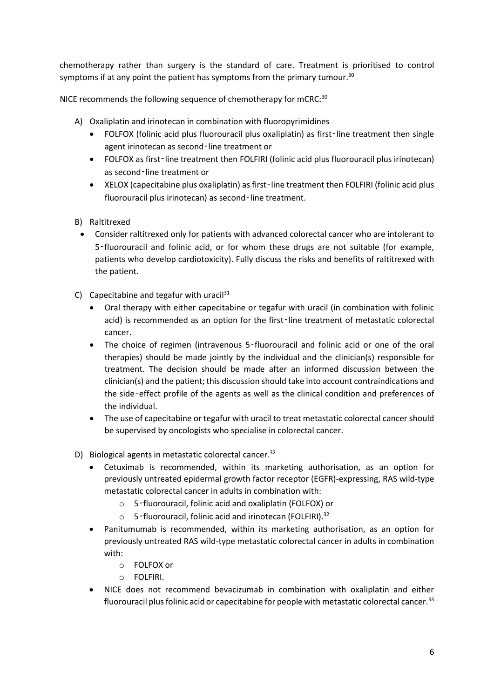chemotherapy rather than surgery is the standard of care. Treatment is prioritised to control symptoms if at any point the patient has symptoms from the primary tumour. $30$ 

NICE recommends the following sequence of chemotherapy for mCRC:<sup>30</sup>

- A) Oxaliplatin and irinotecan in combination with fluoropyrimidines
	- FOLFOX (folinic acid plus fluorouracil plus oxaliplatin) as first-line treatment then single agent irinotecan as second-line treatment or
	- FOLFOX as first-line treatment then FOLFIRI (folinic acid plus fluorouracil plus irinotecan) as second‑line treatment or
	- XELOX (capecitabine plus oxaliplatin) as first‑line treatment then FOLFIRI (folinic acid plus fluorouracil plus irinotecan) as second-line treatment.
- B) Raltitrexed
	- Consider raltitrexed only for patients with advanced colorectal cancer who are intolerant to 5-fluorouracil and folinic acid, or for whom these drugs are not suitable (for example, patients who develop cardiotoxicity). Fully discuss the risks and benefits of raltitrexed with the patient.
- C) Capecitabine and tegafur with uracil $31$ 
	- Oral therapy with either capecitabine or tegafur with uracil (in combination with folinic acid) is recommended as an option for the first-line treatment of metastatic colorectal cancer.
	- The choice of regimen (intravenous 5‑fluorouracil and folinic acid or one of the oral therapies) should be made jointly by the individual and the clinician(s) responsible for treatment. The decision should be made after an informed discussion between the clinician(s) and the patient; this discussion should take into account contraindications and the side‑effect profile of the agents as well as the clinical condition and preferences of the individual.
	- The use of capecitabine or tegafur with uracil to treat metastatic colorectal cancer should be supervised by oncologists who specialise in colorectal cancer.
- D) Biological agents in metastatic colorectal cancer.<sup>32</sup>
	- Cetuximab is recommended, within its marketing authorisation, as an option for previously untreated epidermal growth factor receptor (EGFR)-expressing, RAS wild-type metastatic colorectal cancer in adults in combination with:
		- o 5‑fluorouracil, folinic acid and oxaliplatin (FOLFOX) or
		- o 5‑fluorouracil, folinic acid and irinotecan (FOLFIRI).<sup>32</sup>
	- Panitumumab is recommended, within its marketing authorisation, as an option for previously untreated RAS wild-type metastatic colorectal cancer in adults in combination with:
		- o FOLFOX or
		- o FOLFIRI.
	- NICE does not recommend bevacizumab in combination with oxaliplatin and either fluorouracil plus folinic acid or capecitabine for people with metastatic colorectal cancer. $33$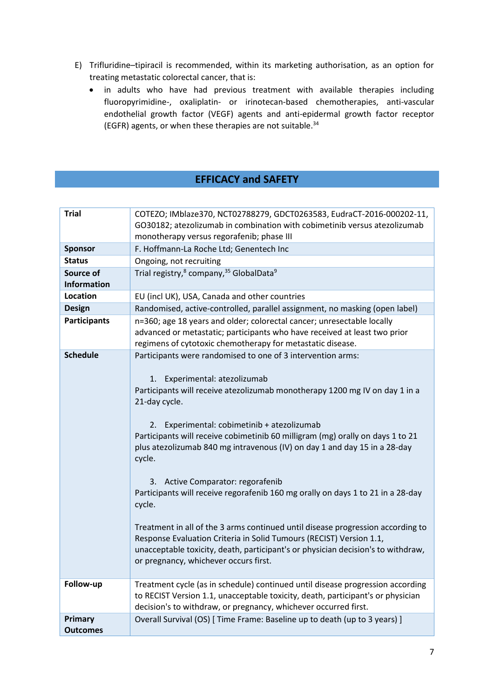- E) Trifluridine–tipiracil is recommended, within its marketing authorisation, as an option for treating metastatic colorectal cancer, that is:
	- in adults who have had previous treatment with available therapies including fluoropyrimidine-, oxaliplatin- or irinotecan-based chemotherapies, anti-vascular endothelial growth factor (VEGF) agents and anti-epidermal growth factor receptor (EGFR) agents, or when these therapies are not suitable.<sup>34</sup>

# **EFFICACY and SAFETY**

| <b>Trial</b>                      | COTEZO; IMblaze370, NCT02788279, GDCT0263583, EudraCT-2016-000202-11,<br>GO30182; atezolizumab in combination with cobimetinib versus atezolizumab<br>monotherapy versus regorafenib; phase III                                                                                                                                                                                                                                                                                                                                                                                                                                                                                                                                                                                                                                                     |
|-----------------------------------|-----------------------------------------------------------------------------------------------------------------------------------------------------------------------------------------------------------------------------------------------------------------------------------------------------------------------------------------------------------------------------------------------------------------------------------------------------------------------------------------------------------------------------------------------------------------------------------------------------------------------------------------------------------------------------------------------------------------------------------------------------------------------------------------------------------------------------------------------------|
| <b>Sponsor</b>                    | F. Hoffmann-La Roche Ltd; Genentech Inc                                                                                                                                                                                                                                                                                                                                                                                                                                                                                                                                                                                                                                                                                                                                                                                                             |
| <b>Status</b>                     | Ongoing, not recruiting                                                                                                                                                                                                                                                                                                                                                                                                                                                                                                                                                                                                                                                                                                                                                                                                                             |
| Source of                         | Trial registry, <sup>8</sup> company, <sup>35</sup> GlobalData <sup>9</sup>                                                                                                                                                                                                                                                                                                                                                                                                                                                                                                                                                                                                                                                                                                                                                                         |
| <b>Information</b>                |                                                                                                                                                                                                                                                                                                                                                                                                                                                                                                                                                                                                                                                                                                                                                                                                                                                     |
| Location                          | EU (incl UK), USA, Canada and other countries                                                                                                                                                                                                                                                                                                                                                                                                                                                                                                                                                                                                                                                                                                                                                                                                       |
| <b>Design</b>                     | Randomised, active-controlled, parallel assignment, no masking (open label)                                                                                                                                                                                                                                                                                                                                                                                                                                                                                                                                                                                                                                                                                                                                                                         |
| <b>Participants</b>               | n=360; age 18 years and older; colorectal cancer; unresectable locally<br>advanced or metastatic; participants who have received at least two prior<br>regimens of cytotoxic chemotherapy for metastatic disease.                                                                                                                                                                                                                                                                                                                                                                                                                                                                                                                                                                                                                                   |
| <b>Schedule</b>                   | Participants were randomised to one of 3 intervention arms:<br>Experimental: atezolizumab<br>1.<br>Participants will receive atezolizumab monotherapy 1200 mg IV on day 1 in a<br>21-day cycle.<br>Experimental: cobimetinib + atezolizumab<br>2.<br>Participants will receive cobimetinib 60 milligram (mg) orally on days 1 to 21<br>plus atezolizumab 840 mg intravenous (IV) on day 1 and day 15 in a 28-day<br>cycle.<br>3. Active Comparator: regorafenib<br>Participants will receive regorafenib 160 mg orally on days 1 to 21 in a 28-day<br>cycle.<br>Treatment in all of the 3 arms continued until disease progression according to<br>Response Evaluation Criteria in Solid Tumours (RECIST) Version 1.1,<br>unacceptable toxicity, death, participant's or physician decision's to withdraw,<br>or pregnancy, whichever occurs first. |
| Follow-up                         | Treatment cycle (as in schedule) continued until disease progression according<br>to RECIST Version 1.1, unacceptable toxicity, death, participant's or physician<br>decision's to withdraw, or pregnancy, whichever occurred first.                                                                                                                                                                                                                                                                                                                                                                                                                                                                                                                                                                                                                |
| <b>Primary</b><br><b>Outcomes</b> | Overall Survival (OS) [ Time Frame: Baseline up to death (up to 3 years) ]                                                                                                                                                                                                                                                                                                                                                                                                                                                                                                                                                                                                                                                                                                                                                                          |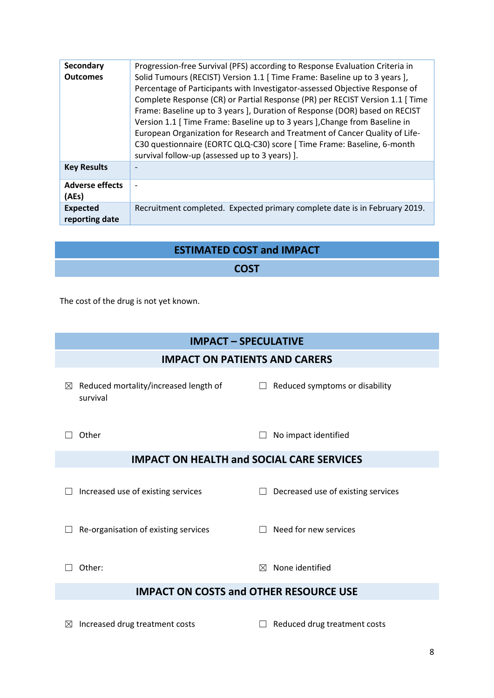| <b>Secondary</b><br><b>Outcomes</b> | Progression-free Survival (PFS) according to Response Evaluation Criteria in<br>Solid Tumours (RECIST) Version 1.1 [ Time Frame: Baseline up to 3 years ],<br>Percentage of Participants with Investigator-assessed Objective Response of<br>Complete Response (CR) or Partial Response (PR) per RECIST Version 1.1 [ Time<br>Frame: Baseline up to 3 years ], Duration of Response (DOR) based on RECIST<br>Version 1.1 [ Time Frame: Baseline up to 3 years ], Change from Baseline in<br>European Organization for Research and Treatment of Cancer Quality of Life-<br>C30 questionnaire (EORTC QLQ-C30) score [ Time Frame: Baseline, 6-month<br>survival follow-up (assessed up to 3 years) ]. |
|-------------------------------------|------------------------------------------------------------------------------------------------------------------------------------------------------------------------------------------------------------------------------------------------------------------------------------------------------------------------------------------------------------------------------------------------------------------------------------------------------------------------------------------------------------------------------------------------------------------------------------------------------------------------------------------------------------------------------------------------------|
| <b>Key Results</b>                  |                                                                                                                                                                                                                                                                                                                                                                                                                                                                                                                                                                                                                                                                                                      |
| <b>Adverse effects</b><br>(AEs)     |                                                                                                                                                                                                                                                                                                                                                                                                                                                                                                                                                                                                                                                                                                      |
| <b>Expected</b><br>reporting date   | Recruitment completed. Expected primary complete date is in February 2019.                                                                                                                                                                                                                                                                                                                                                                                                                                                                                                                                                                                                                           |

| <b>ESTIMATED COST and IMPACT</b> |
|----------------------------------|
| <b>COST</b>                      |

The cost of the drug is not yet known.

# **IMPACT – SPECULATIVE**

#### **IMPACT ON PATIENTS AND CARERS**

 $\boxtimes$  Reduced mortality/increased length of survival

 $\Box$  Reduced symptoms or disability

☐ Other ☐ No impact identified

# **IMPACT ON HEALTH and SOCIAL CARE SERVICES**

☐ Increased use of existing services ☐ Decreased use of existing services

☐ Re-organisation of existing services ☐ Need for new services

☐ Other: ☒ None identified

# **IMPACT ON COSTS and OTHER RESOURCE USE**

☒ Increased drug treatment costs ☐ Reduced drug treatment costs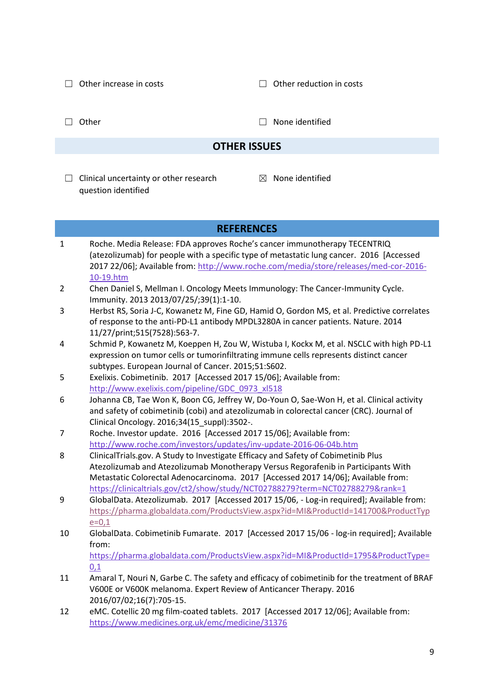☐ Other increase in costs ☐ Other reduction in costs

□ Other □ None identified

## **OTHER ISSUES**

- $\Box$  Clinical uncertainty or other research question identified
- $<sup>8</sup>$  None identified</sup>

#### **REFERENCES** 1 Roche. Media Release: FDA approves Roche's cancer immunotherapy TECENTRIQ (atezolizumab) for people with a specific type of metastatic lung cancer. 2016 [Accessed 2017 22/06]; Available from[: http://www.roche.com/media/store/releases/med-cor-2016-](http://www.roche.com/media/store/releases/med-cor-2016-10-19.htm) [10-19.htm](http://www.roche.com/media/store/releases/med-cor-2016-10-19.htm) 2 Chen Daniel S, Mellman I. Oncology Meets Immunology: The Cancer-Immunity Cycle. Immunity. 2013 2013/07/25/;39(1):1-10. 3 Herbst RS, Soria J-C, Kowanetz M, Fine GD, Hamid O, Gordon MS, et al. Predictive correlates of response to the anti-PD-L1 antibody MPDL3280A in cancer patients. Nature. 2014 11/27/print;515(7528):563-7. 4 Schmid P, Kowanetz M, Koeppen H, Zou W, Wistuba I, Kockx M, et al. NSCLC with high PD-L1 expression on tumor cells or tumorinfiltrating immune cells represents distinct cancer subtypes. European Journal of Cancer. 2015;51:S602. 5 Exelixis. Cobimetinib. 2017 [Accessed 2017 15/06]; Available from: [http://www.exelixis.com/pipeline/GDC\\_0973\\_xl518](http://www.exelixis.com/pipeline/GDC_0973_xl518) 6 Johanna CB, Tae Won K, Boon CG, Jeffrey W, Do-Youn O, Sae-Won H, et al. Clinical activity and safety of cobimetinib (cobi) and atezolizumab in colorectal cancer (CRC). Journal of Clinical Oncology. 2016;34(15\_suppl):3502-. 7 Roche. Investor update. 2016 [Accessed 2017 15/06]; Available from: <http://www.roche.com/investors/updates/inv-update-2016-06-04b.htm> 8 ClinicalTrials.gov. A Study to Investigate Efficacy and Safety of Cobimetinib Plus Atezolizumab and Atezolizumab Monotherapy Versus Regorafenib in Participants With Metastatic Colorectal Adenocarcinoma. 2017 [Accessed 2017 14/06]; Available from: <https://clinicaltrials.gov/ct2/show/study/NCT02788279?term=NCT02788279&rank=1> 9 GlobalData. Atezolizumab. 2017 [Accessed 2017 15/06, - Log-in required]; Available from: [https://pharma.globaldata.com/ProductsView.aspx?id=MI&ProductId=141700&ProductTyp](https://pharma.globaldata.com/ProductsView.aspx?id=MI&ProductId=141700&ProductType=0,1)  $e=0,1$ 10 GlobalData. Cobimetinib Fumarate. 2017 [Accessed 2017 15/06 - log-in required]; Available from: [https://pharma.globaldata.com/ProductsView.aspx?id=MI&ProductId=1795&ProductType=](https://pharma.globaldata.com/ProductsView.aspx?id=MI&ProductId=1795&ProductType=0,1) [0,1](https://pharma.globaldata.com/ProductsView.aspx?id=MI&ProductId=1795&ProductType=0,1) 11 Amaral T, Nouri N, Garbe C. The safety and efficacy of cobimetinib for the treatment of BRAF V600E or V600K melanoma. Expert Review of Anticancer Therapy. 2016 2016/07/02;16(7):705-15. 12 eMC. Cotellic 20 mg film-coated tablets. 2017 [Accessed 2017 12/06]; Available from:

<https://www.medicines.org.uk/emc/medicine/31376>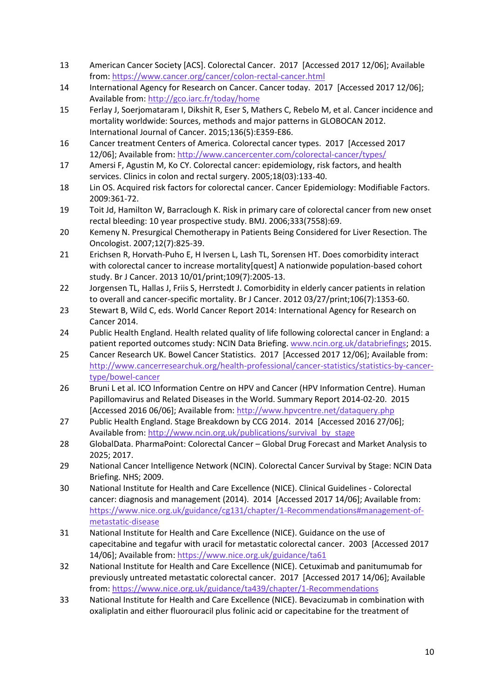- 13 American Cancer Society [ACS]. Colorectal Cancer. 2017 [Accessed 2017 12/06]; Available from:<https://www.cancer.org/cancer/colon-rectal-cancer.html>
- 14 International Agency for Research on Cancer. Cancer today. 2017 [Accessed 2017 12/06]; Available from[: http://gco.iarc.fr/today/home](http://gco.iarc.fr/today/home)
- 15 Ferlay J, Soerjomataram I, Dikshit R, Eser S, Mathers C, Rebelo M, et al. Cancer incidence and mortality worldwide: Sources, methods and major patterns in GLOBOCAN 2012. International Journal of Cancer. 2015;136(5):E359-E86.
- 16 Cancer treatment Centers of America. Colorectal cancer types. 2017 [Accessed 2017 12/06]; Available from:<http://www.cancercenter.com/colorectal-cancer/types/>
- 17 Amersi F, Agustin M, Ko CY. Colorectal cancer: epidemiology, risk factors, and health services. Clinics in colon and rectal surgery. 2005;18(03):133-40.
- 18 Lin OS. Acquired risk factors for colorectal cancer. Cancer Epidemiology: Modifiable Factors. 2009:361-72.
- 19 Toit Jd, Hamilton W, Barraclough K. Risk in primary care of colorectal cancer from new onset rectal bleeding: 10 year prospective study. BMJ. 2006;333(7558):69.
- 20 Kemeny N. Presurgical Chemotherapy in Patients Being Considered for Liver Resection. The Oncologist. 2007;12(7):825-39.
- 21 Erichsen R, Horvath-Puho E, H Iversen L, Lash TL, Sorensen HT. Does comorbidity interact with colorectal cancer to increase mortality[quest] A nationwide population-based cohort study. Br J Cancer. 2013 10/01/print;109(7):2005-13.
- 22 Jorgensen TL, Hallas J, Friis S, Herrstedt J. Comorbidity in elderly cancer patients in relation to overall and cancer-specific mortality. Br J Cancer. 2012 03/27/print;106(7):1353-60.
- 23 Stewart B, Wild C, eds. World Cancer Report 2014: International Agency for Research on Cancer 2014.
- 24 Public Health England. Health related quality of life following colorectal cancer in England: a patient reported outcomes study: NCIN Data Briefing. [www.ncin.org.uk/databriefings;](http://www.ncin.org.uk/databriefings) 2015.
- 25 Cancer Research UK. Bowel Cancer Statistics. 2017 [Accessed 2017 12/06]; Available from: [http://www.cancerresearchuk.org/health-professional/cancer-statistics/statistics-by-cancer](http://www.cancerresearchuk.org/health-professional/cancer-statistics/statistics-by-cancer-type/bowel-cancer)[type/bowel-cancer](http://www.cancerresearchuk.org/health-professional/cancer-statistics/statistics-by-cancer-type/bowel-cancer)
- 26 Bruni L et al. ICO Information Centre on HPV and Cancer (HPV Information Centre). Human Papillomavirus and Related Diseases in the World. Summary Report 2014-02-20. 2015 [Accessed 2016 06/06]; Available from:<http://www.hpvcentre.net/dataquery.php>
- 27 Public Health England. Stage Breakdown by CCG 2014. 2014 [Accessed 2016 27/06]; Available from[: http://www.ncin.org.uk/publications/survival\\_by\\_stage](http://www.ncin.org.uk/publications/survival_by_stage)
- 28 GlobalData. PharmaPoint: Colorectal Cancer Global Drug Forecast and Market Analysis to 2025; 2017.
- 29 National Cancer Intelligence Network (NCIN). Colorectal Cancer Survival by Stage: NCIN Data Briefing. NHS; 2009.
- 30 National Institute for Health and Care Excellence (NICE). Clinical Guidelines Colorectal cancer: diagnosis and management (2014). 2014 [Accessed 2017 14/06]; Available from: [https://www.nice.org.uk/guidance/cg131/chapter/1-Recommendations#management-of](https://www.nice.org.uk/guidance/cg131/chapter/1-Recommendations#management-of-metastatic-disease)[metastatic-disease](https://www.nice.org.uk/guidance/cg131/chapter/1-Recommendations#management-of-metastatic-disease)
- 31 National Institute for Health and Care Excellence (NICE). Guidance on the use of capecitabine and tegafur with uracil for metastatic colorectal cancer. 2003 [Accessed 2017 14/06]; Available from:<https://www.nice.org.uk/guidance/ta61>
- 32 National Institute for Health and Care Excellence (NICE). Cetuximab and panitumumab for previously untreated metastatic colorectal cancer. 2017 [Accessed 2017 14/06]; Available from:<https://www.nice.org.uk/guidance/ta439/chapter/1-Recommendations>
- 33 National Institute for Health and Care Excellence (NICE). Bevacizumab in combination with oxaliplatin and either fluorouracil plus folinic acid or capecitabine for the treatment of